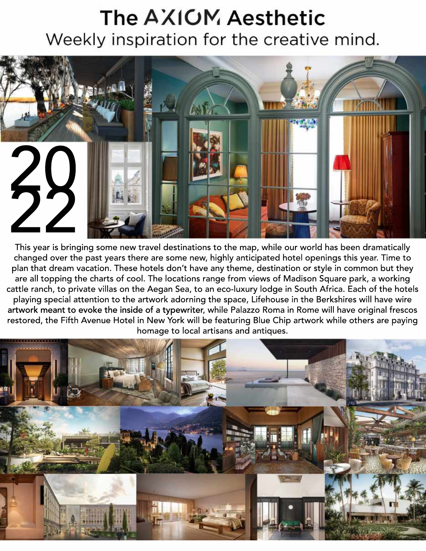## The AXIOM Aesthetic Weekly inspiration for the creative mind.



This year is bringing some new travel destinations to the map, while our world has been dramatically changed over the past years there are some new, highly anticipated hotel openings this year. Time to plan that dream vacation. These hotels don't have any theme, destination or style in common but they are all topping the charts of cool. The locations range from views of Madison Square park, a working cattle ranch, to private villas on the Aegan Sea, to an eco-luxury lodge in South Africa. Each of the hotels playing special attention to the artwork adorning the space, Lifehouse in the Berkshires will have wire artwork meant to evoke the inside of a typewriter, while Palazzo Roma in Rome will have original frescos restored, the Fifth Avenue Hotel in New York will be featuring Blue Chip artwork while others are paying homage to local artisans and antiques.

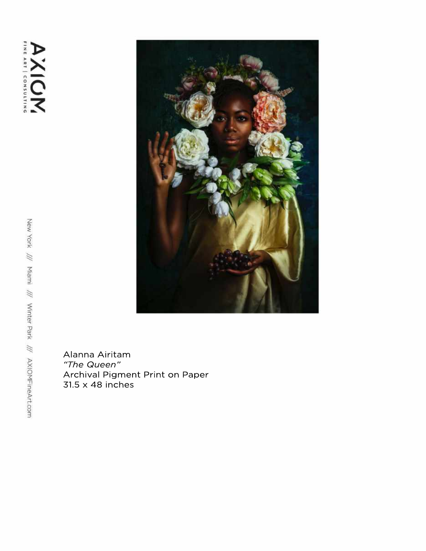**AXIOM** 



Alanna Airitam *"TheQueen"* Archival Pigment Print on Paper  $31.5 \times 48$  inches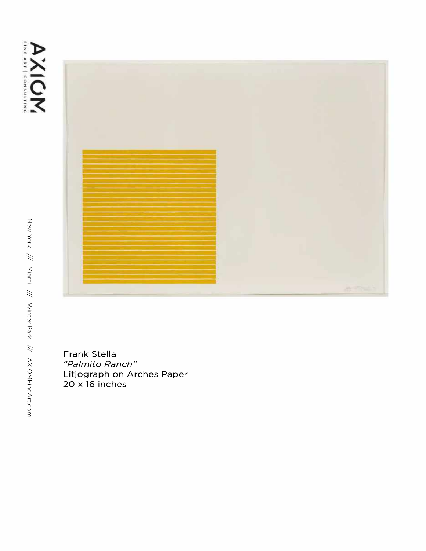



Frank Stella "Palmito Ranch" Litjograph on Arches Paper  $20 \times 16$  inches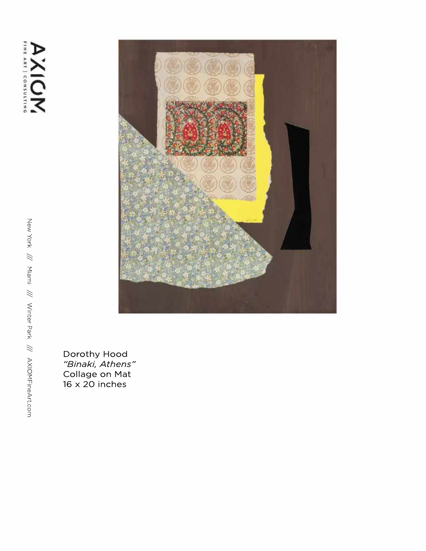

Dorothy Hood *"B in a ki, A th e n s "* Collage on Mat 16 x 20 inches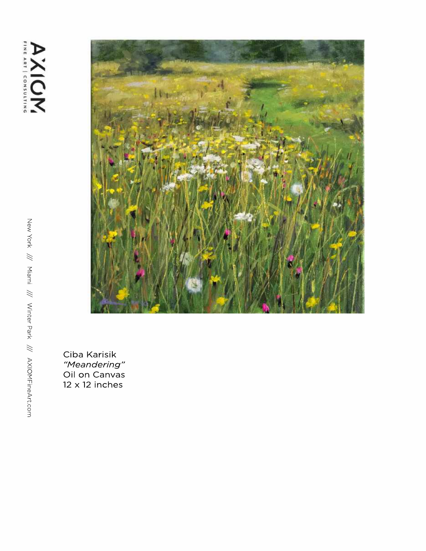

Ciba Karisik *"M e a n d e rin g "* Oil on Canvas 12 x 12 inches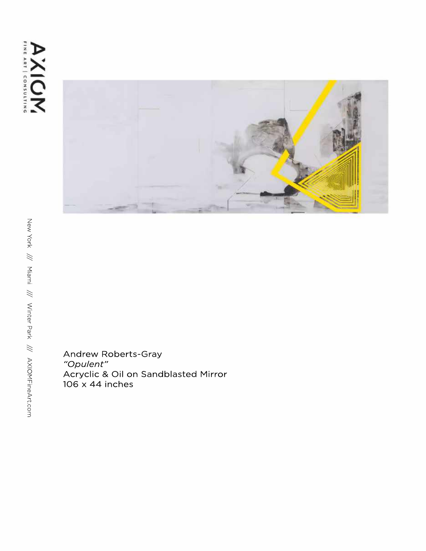

Andrew Roberts-Gray *"Opulent"* Acryclic & Oil on Sandblasted Mirror 106x44inches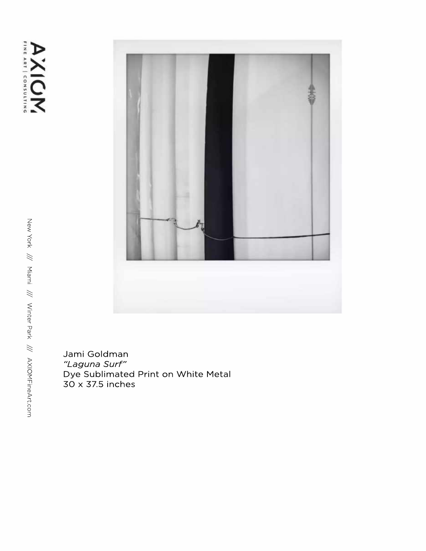AXIOM



Jami Goldman *"L a g u n a S u r f "* Dye Sublimated Print on White Metal 30 x 37.5 inches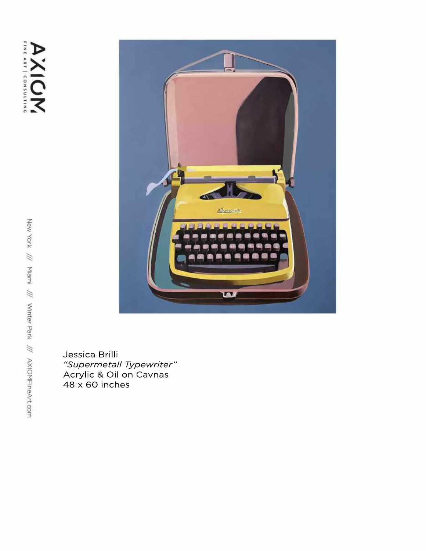

Jessica Brilli *"SupermetallTypewriter"* Acrylic & Oil on Cavnas  $48 \times 60$  inches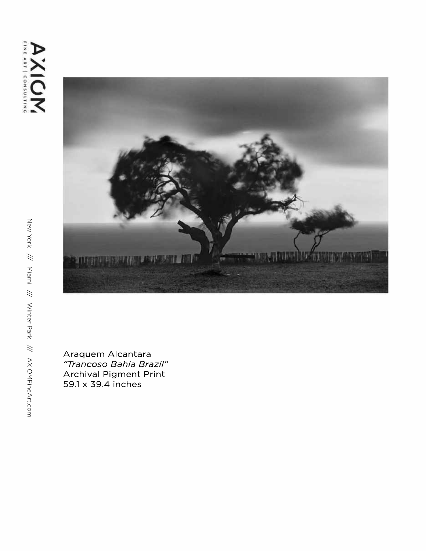

Araquem Alcantara "Trancoso Bahia Brazil" Archival Pigment Print 59.1 x 39.4 inches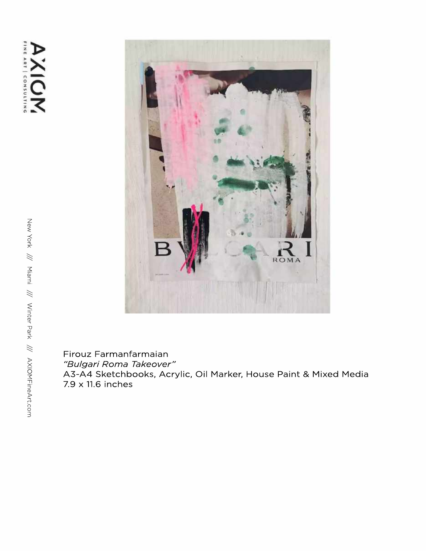

Firouz Farmanfarmaian *"BulgariRomaTakeover"* A3-A4 Sketchbooks, Acrylic, Oil Marker, House Paint & Mixed Media 7.9 x 11.6 inches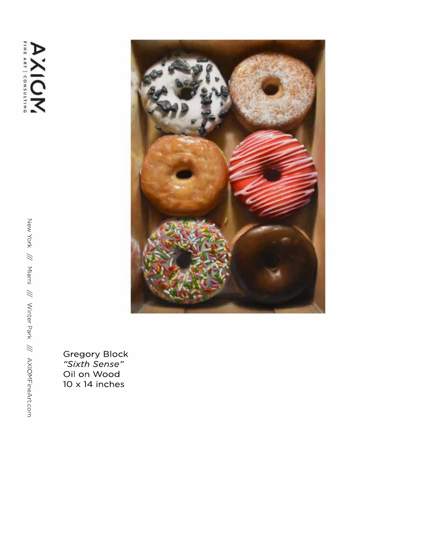

Gregory Block *"S ix th S e n s e "* Oil on Wood 10 x 14 inches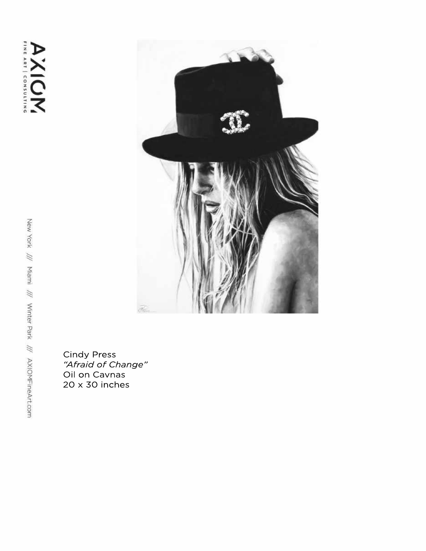

Cindy Press<br>*"Afraid of Change"*<br>Oil on Cavnas  $20 \times 30$  inches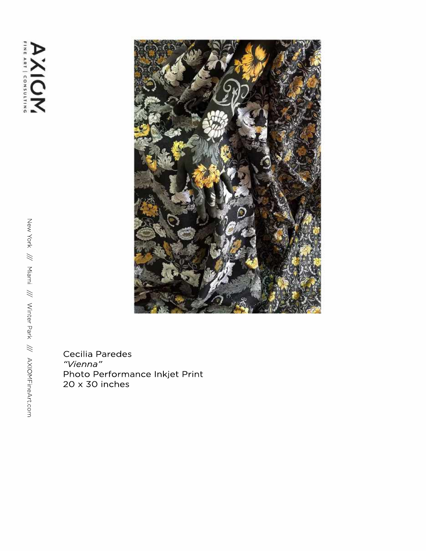

Cecilia Paredes *" Vi e n n a "* Photo Performance Inkjet Print 20 x 30 inches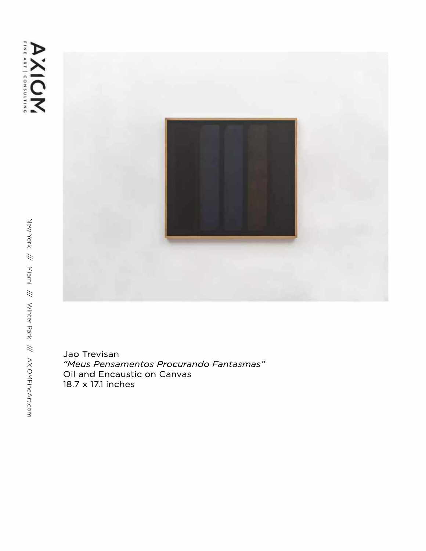



Jao Trevisan "Meus Pensamentos Procurando Fantasmas" Oil and Encaustic on Canvas 18.7 x 17.1 inches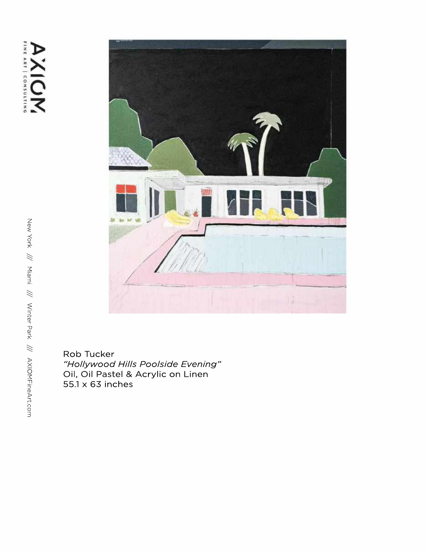

Rob Tucker *"HollywoodHillsPoolsideEvening"* Oil, Oil Pastel & Acrylic on Linen 55.1x63inches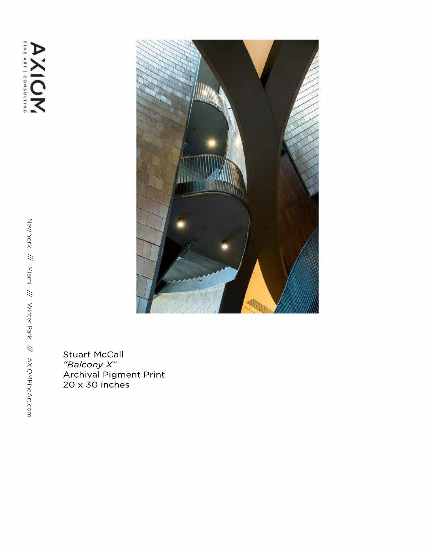

Stuart McCall *"B a l c o ny X "* Archival Pigment Print 20 x 30 inches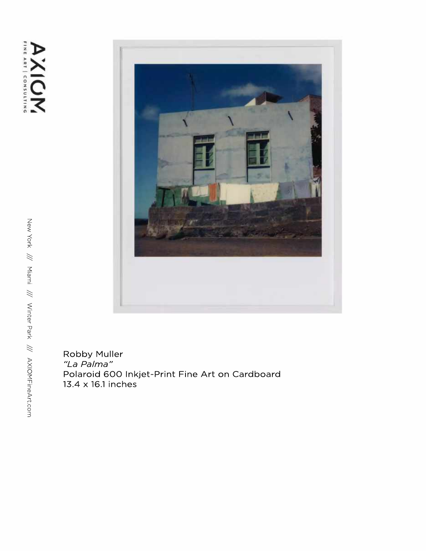

Robby Muller *"L a Pa lm a "* Polaroid 600 Inkjet-Print Fine Art on Cardboard 13.4 x 16.1 inches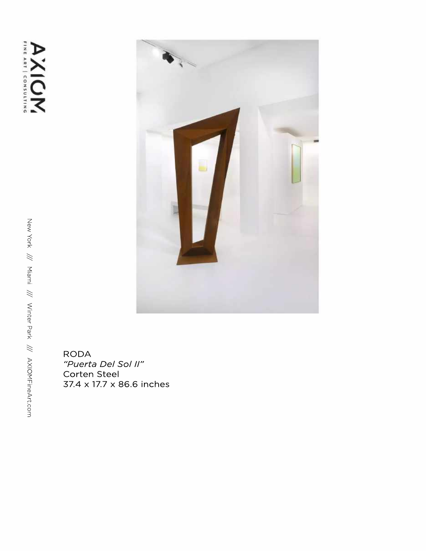

**RODA** "Puerta Del Sol II" Corten Steel 37.4 x 17.7 x 86.6 inches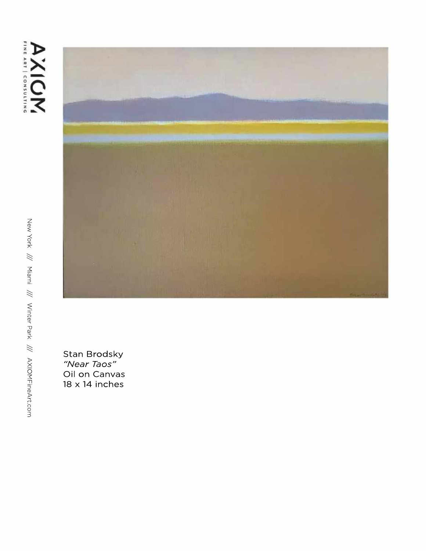



Stan Brodsky "Near Taos" Oil on Canvas 18 x 14 inches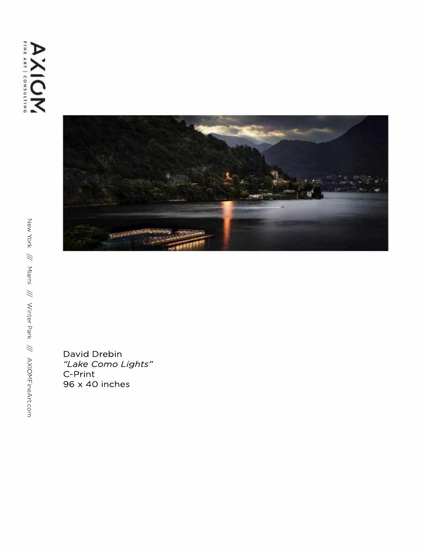

David Drebin *"LakeComoLights"* C-Print 96 x 40 inches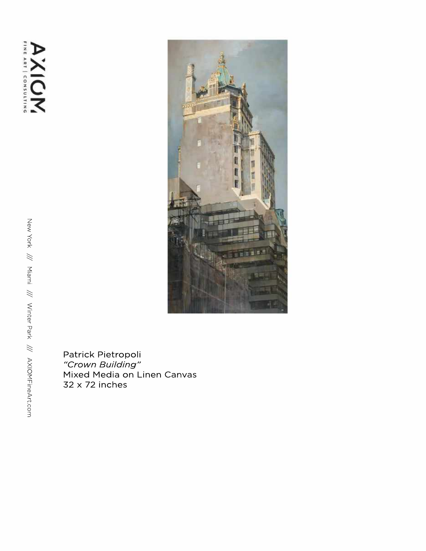**AXIOM** 



Patrick Pietropoli *" Cr o wn B u il din g "* Mixed Media on Linen Canvas 32 x 72 inches